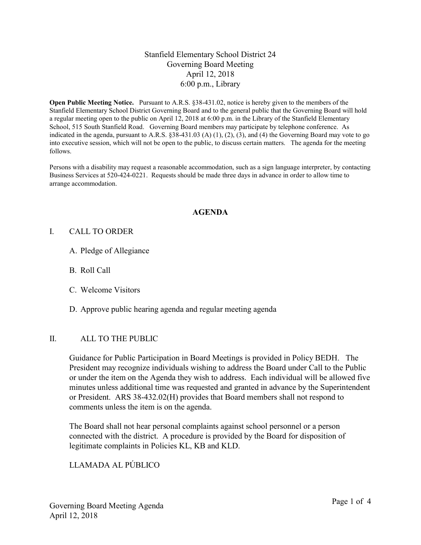# Stanfield Elementary School District 24 Governing Board Meeting April 12, 2018 6:00 p.m., Library

Open Public Meeting Notice. Pursuant to A.R.S. §38-431.02, notice is hereby given to the members of the Stanfield Elementary School District Governing Board and to the general public that the Governing Board will hold a regular meeting open to the public on April 12, 2018 at 6:00 p.m. in the Library of the Stanfield Elementary School, 515 South Stanfield Road. Governing Board members may participate by telephone conference. As indicated in the agenda, pursuant to A.R.S. §38-431.03 (A) (1), (2), (3), and (4) the Governing Board may vote to go into executive session, which will not be open to the public, to discuss certain matters. The agenda for the meeting follows.

Persons with a disability may request a reasonable accommodation, such as a sign language interpreter, by contacting Business Services at 520-424-0221. Requests should be made three days in advance in order to allow time to arrange accommodation.

#### AGENDA

#### I. CALL TO ORDER

- A. Pledge of Allegiance
- B. Roll Call
- C. Welcome Visitors
- D. Approve public hearing agenda and regular meeting agenda

#### II. ALL TO THE PUBLIC

Guidance for Public Participation in Board Meetings is provided in Policy BEDH. The President may recognize individuals wishing to address the Board under Call to the Public or under the item on the Agenda they wish to address. Each individual will be allowed five minutes unless additional time was requested and granted in advance by the Superintendent or President. ARS 38-432.02(H) provides that Board members shall not respond to comments unless the item is on the agenda.

The Board shall not hear personal complaints against school personnel or a person connected with the district. A procedure is provided by the Board for disposition of legitimate complaints in Policies KL, KB and KLD.

# LLAMADA AL PÚBLICO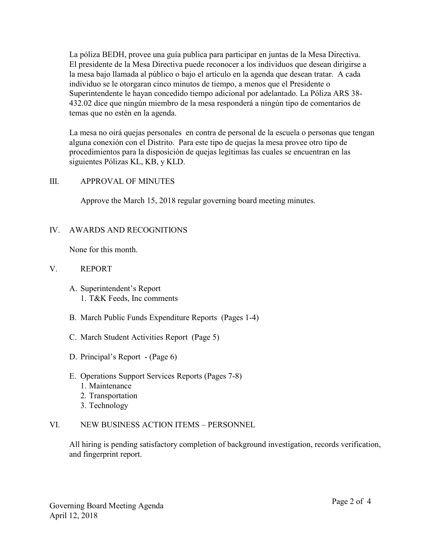La póliza BEDH, provee una guía publica para participar en juntas de la Mesa Directiva. El presidente de la Mesa Directiva puede reconocer a los individuos que desean dirigirse a la mesa bajo llamada al público o bajo el artículo en la agenda que desean tratar. A cada individuo se le otorgaran cinco minutos de tiempo, a menos que el Presidente o Superintendente le hayan concedido tiempo adicional por adelantado. La Póliza ARS 38- 432.02 dice que ningún miembro de la mesa responderá a ningún tipo de comentarios de temas que no estén en la agenda.

La mesa no oirá quejas personales en contra de personal de la escuela o personas que tengan alguna conexión con el Distrito. Para este tipo de quejas la mesa provee otro tipo de procedimientos para la disposición de quejas legítimas las cuales se encuentran en las siguientes Pólizas KL, KB, y KLD.

#### III. APPROVAL OF MINUTES

Approve the March 15, 2018 regular governing board meeting minutes.

#### IV. AWARDS AND RECOGNITIONS

None for this month.

#### V. REPORT

- A. Superintendent's Report 1. T&K Feeds, Inc comments
- B. March Public Funds Expenditure Reports (Pages 1-4)
- C. March Student Activities Report (Page 5)
- D. Principal's Report (Page 6)
- E. Operations Support Services Reports (Pages 7-8)
	- 1. Maintenance
	- 2. Transportation
	- 3. Technology

# VI. NEW BUSINESS ACTION ITEMS – PERSONNEL

All hiring is pending satisfactory completion of background investigation, records verification, and fingerprint report.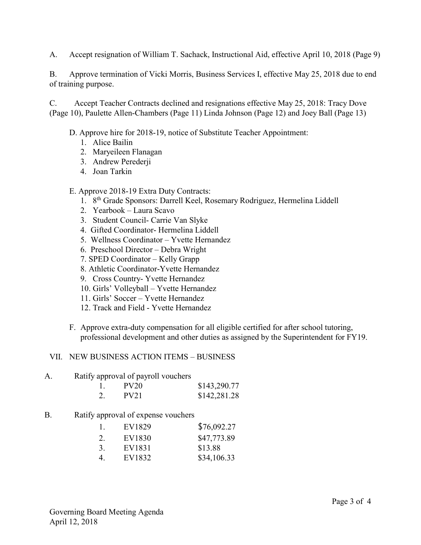A. Accept resignation of William T. Sachack, Instructional Aid, effective April 10, 2018 (Page 9)

B. Approve termination of Vicki Morris, Business Services I, effective May 25, 2018 due to end of training purpose.

C. Accept Teacher Contracts declined and resignations effective May 25, 2018: Tracy Dove (Page 10), Paulette Allen-Chambers (Page 11) Linda Johnson (Page 12) and Joey Ball (Page 13)

D. Approve hire for 2018-19, notice of Substitute Teacher Appointment:

- 1. Alice Bailin
- 2. Maryeileen Flanagan
- 3. Andrew Perederji
- 4. Joan Tarkin

# E. Approve 2018-19 Extra Duty Contracts:

- 1. 8th Grade Sponsors: Darrell Keel, Rosemary Rodriguez, Hermelina Liddell
- 2. Yearbook Laura Scavo
- 3. Student Council- Carrie Van Slyke
- 4. Gifted Coordinator- Hermelina Liddell
- 5. Wellness Coordinator Yvette Hernandez
- 6. Preschool Director Debra Wright
- 7. SPED Coordinator Kelly Grapp
- 8. Athletic Coordinator-Yvette Hernandez
- 9. Cross Country- Yvette Hernandez
- 10. Girls' Volleyball Yvette Hernandez
- 11. Girls' Soccer Yvette Hernandez
- 12. Track and Field Yvette Hernandez
- F. Approve extra-duty compensation for all eligible certified for after school tutoring, professional development and other duties as assigned by the Superintendent for FY19.

#### VII. NEW BUSINESS ACTION ITEMS – BUSINESS

#### A. Ratify approval of payroll vouchers

|    | PV <sub>20</sub> | \$143,290.77 |
|----|------------------|--------------|
| 2. | <b>PV21</b>      | \$142,281.28 |

# B. Ratify approval of expense vouchers

| 1. | EV1829 | \$76,092.27 |
|----|--------|-------------|
| 2. | EV1830 | \$47,773.89 |
| 3. | EV1831 | \$13.88     |
| 4. | EV1832 | \$34,106.33 |